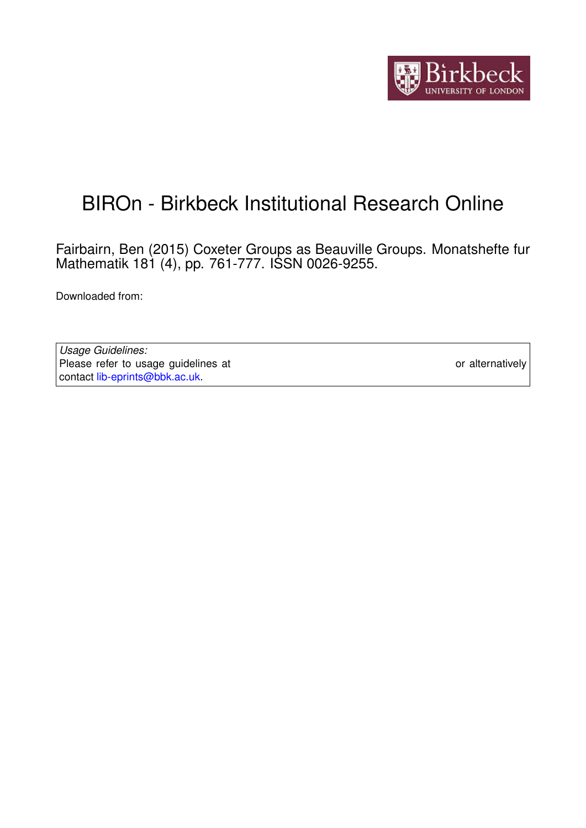

# BIROn - Birkbeck Institutional Research Online

Fairbairn, Ben (2015) Coxeter Groups as Beauville Groups. Monatshefte fur Mathematik 181 (4), pp. 761-777. ISSN 0026-9255.

Downloaded from: <https://eprints.bbk.ac.uk/id/eprint/13574/>

*Usage Guidelines:* Please refer to usage guidelines at <https://eprints.bbk.ac.uk/policies.html> or alternatively contact [lib-eprints@bbk.ac.uk.](mailto:lib-eprints@bbk.ac.uk)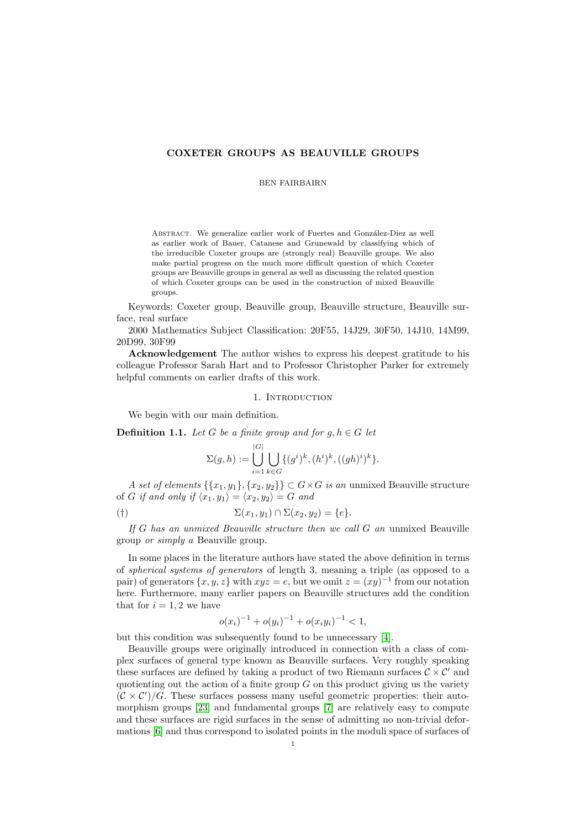# COXETER GROUPS AS BEAUVILLE GROUPS

### BEN FAIRBAIRN

ABSTRACT. We generalize earlier work of Fuertes and González-Diez as well as earlier work of Bauer, Catanese and Grunewald by classifying which of the irreducible Coxeter groups are (strongly real) Beauville groups. We also make partial progress on the much more difficult question of which Coxeter groups are Beauville groups in general as well as discussing the related question of which Coxeter groups can be used in the construction of mixed Beauville groups.

Keywords: Coxeter group, Beauville group, Beauville structure, Beauville surface, real surface

2000 Mathematics Subject Classification: 20F55, 14J29, 30F50, 14J10, 14M99, 20D99, 30F99

Acknowledgement The author wishes to express his deepest gratitude to his colleague Professor Sarah Hart and to Professor Christopher Parker for extremely helpful comments on earlier drafts of this work.

#### 1. INTRODUCTION

<span id="page-1-1"></span>We begin with our main definition.

<span id="page-1-0"></span>**Definition 1.1.** Let G be a finite group and for  $g, h \in G$  let

|G|

$$
\Sigma(g, h) := \bigcup_{i=1}^{|G|} \bigcup_{k \in G} \{ (g^i)^k, (h^i)^k, ((gh)^i)^k \}.
$$

A set of elements  $\{\{x_1, y_1\}, \{x_2, y_2\}\} \subset G \times G$  is an unmixed Beauville structure of G if and only if  $\langle x_1, y_1 \rangle = \langle x_2, y_2 \rangle = G$  and

$$
(\dagger) \qquad \qquad \Sigma(x_1, y_1) \cap \Sigma(x_2, y_2) = \{e\}.
$$

If G has an unmixed Beauville structure then we call G an unmixed Beauville group or simply a Beauville group.

In some places in the literature authors have stated the above definition in terms of spherical systems of generators of length 3, meaning a triple (as opposed to a pair) of generators  $\{x, y, z\}$  with  $xyz = e$ , but we omit  $z = (xy)^{-1}$  from our notation here. Furthermore, many earlier papers on Beauville structures add the condition that for  $i = 1, 2$  we have

$$
o(x_i)^{-1} + o(y_i)^{-1} + o(x_iy_i)^{-1} < 1,
$$

but this condition was subsequently found to be unnecessary [\[4\]](#page-13-0).

Beauville groups were originally introduced in connection with a class of complex surfaces of general type known as Beauville surfaces. Very roughly speaking these surfaces are defined by taking a product of two Riemann surfaces  $\mathcal{C} \times \mathcal{C}'$  and quotienting out the action of a finite group  $G$  on this product giving us the variety  $(C \times C')/G$ . These surfaces possess many useful geometric properties: their automorphism groups [\[23\]](#page-14-0) and fundamental groups [\[7\]](#page-14-1) are relatively easy to compute and these surfaces are rigid surfaces in the sense of admitting no non-trivial deformations [\[6\]](#page-14-2) and thus correspond to isolated points in the moduli space of surfaces of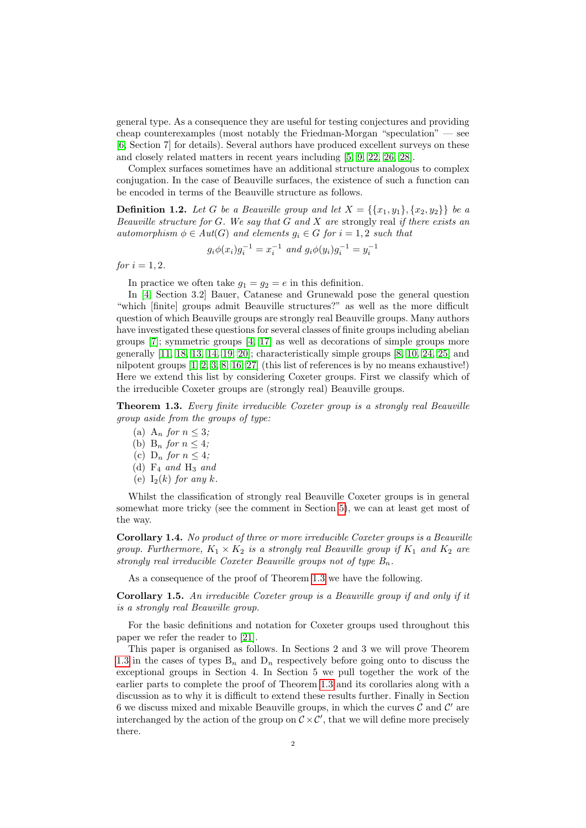general type. As a consequence they are useful for testing conjectures and providing cheap counterexamples (most notably the Friedman-Morgan "speculation" — see [\[6,](#page-14-2) Section 7] for details). Several authors have produced excellent surveys on these and closely related matters in recent years including [\[5,](#page-14-3) [9,](#page-14-4) [22,](#page-14-5) [26,](#page-14-6) [28\]](#page-14-7).

Complex surfaces sometimes have an additional structure analogous to complex conjugation. In the case of Beauville surfaces, the existence of such a function can be encoded in terms of the Beauville structure as follows.

**Definition 1.2.** Let G be a Beauville group and let  $X = \{\{x_1, y_1\}, \{x_2, y_2\}\}\$ be a Beauville structure for G. We say that  $G$  and  $X$  are strongly real if there exists an automorphism  $\phi \in Aut(G)$  and elements  $g_i \in G$  for  $i = 1, 2$  such that

$$
g_i \phi(x_i) g_i^{-1} = x_i^{-1}
$$
 and  $g_i \phi(y_i) g_i^{-1} = y_i^{-1}$ 

for  $i = 1, 2$ .

In practice we often take  $g_1 = g_2 = e$  in this definition.

In [\[4,](#page-13-0) Section 3.2] Bauer, Catanese and Grunewald pose the general question "which [finite] groups admit Beauville structures?" as well as the more difficult question of which Beauville groups are strongly real Beauville groups. Many authors have investigated these questions for several classes of finite groups including abelian groups [\[7\]](#page-14-1); symmetric groups [\[4,](#page-13-0) [17\]](#page-14-8) as well as decorations of simple groups more generally [\[11,](#page-14-9) [18,](#page-14-10) [13,](#page-14-11) [14,](#page-14-12) [19,](#page-14-13) [20\]](#page-14-14); characteristically simple groups [\[8,](#page-14-15) [10,](#page-14-16) [24,](#page-14-17) [25\]](#page-14-18) and nilpotent groups [\[1,](#page-13-1) [2,](#page-13-2) [3,](#page-13-3) [8,](#page-14-15) [16,](#page-14-19) [27\]](#page-14-20) (this list of references is by no means exhaustive!) Here we extend this list by considering Coxeter groups. First we classify which of the irreducible Coxeter groups are (strongly real) Beauville groups.

<span id="page-2-0"></span>**Theorem 1.3.** Every finite irreducible Coxeter group is a strongly real Beauville group aside from the groups of type:

- (a) A<sub>n</sub> for  $n \leq 3$ ;
- (b)  $B_n$  for  $n \leq 4$ ;
- (c)  $D_n$  for  $n \leq 4$ ;
- (d)  $F_4$  and  $H_3$  and
- (e)  $I_2(k)$  for any k.

Whilst the classification of strongly real Beauville Coxeter groups is in general somewhat more tricky (see the comment in Section [5\)](#page-11-0), we can at least get most of the way.

<span id="page-2-1"></span>Corollary 1.4. No product of three or more irreducible Coxeter groups is a Beauville group. Furthermore,  $K_1 \times K_2$  is a strongly real Beauville group if  $K_1$  and  $K_2$  are strongly real irreducible Coxeter Beauville groups not of type  $B_n$ .

As a consequence of the proof of Theorem [1.3](#page-2-0) we have the following.

Corollary 1.5. An irreducible Coxeter group is a Beauville group if and only if it is a strongly real Beauville group.

For the basic definitions and notation for Coxeter groups used throughout this paper we refer the reader to [\[21\]](#page-14-21).

This paper is organised as follows. In Sections 2 and 3 we will prove Theorem [1.3](#page-2-0) in the cases of types  $B_n$  and  $D_n$  respectively before going onto to discuss the exceptional groups in Section 4. In Section 5 we pull together the work of the earlier parts to complete the proof of Theorem [1.3](#page-2-0) and its corollaries along with a discussion as to why it is difficult to extend these results further. Finally in Section 6 we discuss mixed and mixable Beauville groups, in which the curves  $\mathcal C$  and  $\mathcal C'$  are interchanged by the action of the group on  $C \times C'$ , that we will define more precisely there.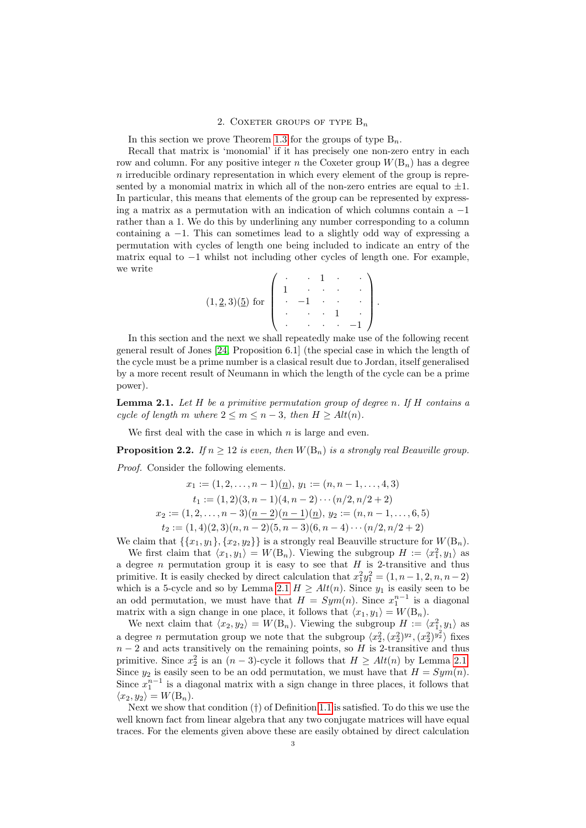## 2. COXETER GROUPS OF TYPE  $B_n$

<span id="page-3-2"></span>In this section we prove Theorem [1.3](#page-2-0) for the groups of type  $B_n$ .

Recall that matrix is 'monomial' if it has precisely one non-zero entry in each row and column. For any positive integer n the Coxeter group  $W(B_n)$  has a degree  $n$  irreducible ordinary representation in which every element of the group is represented by a monomial matrix in which all of the non-zero entries are equal to  $\pm 1$ . In particular, this means that elements of the group can be represented by expressing a matrix as a permutation with an indication of which columns contain a −1 rather than a 1. We do this by underlining any number corresponding to a column containing a  $-1$ . This can sometimes lead to a slightly odd way of expressing a permutation with cycles of length one being included to indicate an entry of the matrix equal to  $-1$  whilst not including other cycles of length one. For example, we write

$$
(1, 2, 3)(5)
$$
 for 
$$
\begin{pmatrix} \cdot & \cdot & 1 & \cdot & \cdot \\ 1 & \cdot & \cdot & \cdot & \cdot \\ \cdot & -1 & \cdot & \cdot & \cdot \\ \cdot & \cdot & \cdot & 1 & \cdot \\ \cdot & \cdot & \cdot & -1 \end{pmatrix}.
$$

In this section and the next we shall repeatedly make use of the following recent general result of Jones [\[24,](#page-14-17) Proposition 6.1] (the special case in which the length of the cycle must be a prime number is a clasical result due to Jordan, itself generalised by a more recent result of Neumann in which the length of the cycle can be a prime power).

<span id="page-3-0"></span>**Lemma 2.1.** Let  $H$  be a primitive permutation group of degree n. If  $H$  contains a cycle of length m where  $2 \le m \le n-3$ , then  $H > Alt(n)$ .

We first deal with the case in which  $n$  is large and even.

<span id="page-3-1"></span>**Proposition 2.2.** If  $n \geq 12$  is even, then  $W(B_n)$  is a strongly real Beauville group.

Proof. Consider the following elements.

 $x_1 := (1, 2, \ldots, n-1)(n), y_1 := (n, n-1, \ldots, 4, 3)$  $t_1 := (1, 2)(3, n - 1)(4, n - 2) \cdots (n/2, n/2 + 2)$  $x_2 := (1, 2, \ldots, n-3)(\underline{n-2})(\underline{n-1})(\underline{n}), y_2 := (n, n-1, \ldots, 6, 5)$  $t_2 := (1, 4)(2, 3)(n, n - 2)(5, n - 3)(6, n - 4) \cdots (n/2, n/2 + 2)$ 

We claim that  $\{\{x_1, y_1\}, \{x_2, y_2\}\}\$ is a strongly real Beauville structure for  $W(B_n)$ .

We first claim that  $\langle x_1, y_1 \rangle = W(B_n)$ . Viewing the subgroup  $H := \langle x_1^2, y_1 \rangle$  as a degree *n* permutation group it is easy to see that  $H$  is 2-transitive and thus primitive. It is easily checked by direct calculation that  $x_1^2y_1^2 = (1, n-1, 2, n, n-2)$ which is a 5-cycle and so by Lemma [2.1](#page-3-0)  $H \geq Alt(n)$ . Since  $y_1$  is easily seen to be an odd permutation, we must have that  $H = Sym(n)$ . Since  $x_1^{n-1}$  is a diagonal matrix with a sign change in one place, it follows that  $\langle x_1, y_1 \rangle = W(\mathcal{B}_n)$ .

We next claim that  $\langle x_2, y_2 \rangle = W(B_n)$ . Viewing the subgroup  $H := \langle x_1^2, y_1 \rangle$  as a degree *n* permutation group we note that the subgroup  $\langle x_2^2, (x_2^2)^{y_2}, (x_2^2)^{y_2^2} \rangle$  fixes  $n-2$  and acts transitively on the remaining points, so H is 2-transitive and thus primitive. Since  $x_2^2$  is an  $(n-3)$ -cycle it follows that  $H \geq Alt(n)$  by Lemma [2.1.](#page-3-0) Since  $y_2$  is easily seen to be an odd permutation, we must have that  $H = Sym(n)$ . Since  $x_1^{n-1}$  is a diagonal matrix with a sign change in three places, it follows that  $\langle x_2, y_2 \rangle = W(\mathcal{B}_n).$ 

Next we show that condition  $(†)$  of Definition [1.1](#page-1-0) is satisfied. To do this we use the well known fact from linear algebra that any two conjugate matrices will have equal traces. For the elements given above these are easily obtained by direct calculation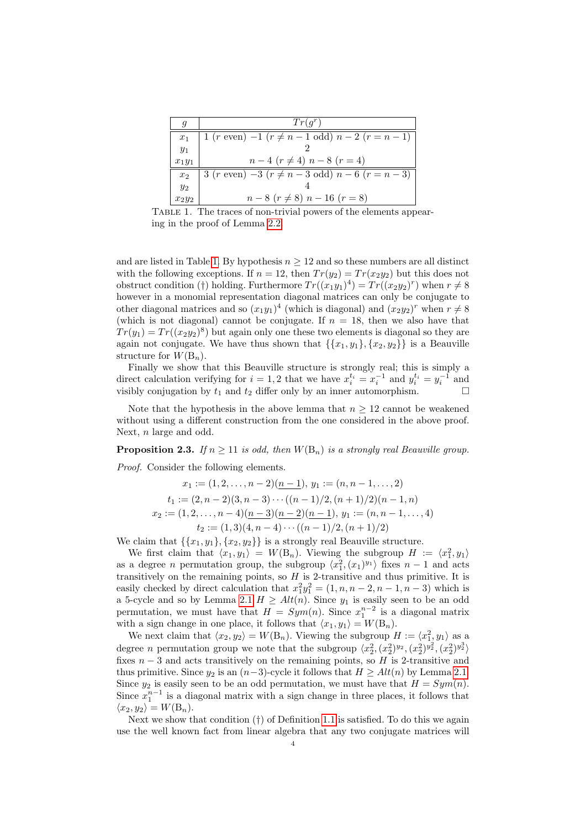| q              | $Tr(q^r)$                                                             |  |
|----------------|-----------------------------------------------------------------------|--|
| $x_1$          | $1 (r \text{ even}) - 1 (r \neq n - 1 \text{ odd}) n - 2 (r = n - 1)$ |  |
| $y_1$          |                                                                       |  |
| $x_1y_1$       | $n-4$ $(r \neq 4)$ $n-8$ $(r = 4)$                                    |  |
| x <sub>2</sub> | 3 (r even) $-3(r \neq n-3$ odd) $n-6(r=n-3)$                          |  |
| $y_2$          |                                                                       |  |
| $x_2y_2$       | $n-8$ $(r \neq 8)$ $n-16$ $(r = 8)$                                   |  |

<span id="page-4-0"></span>Table 1. The traces of non-trivial powers of the elements appearing in the proof of Lemma [2.2.](#page-3-1)

and are listed in Table [1.](#page-4-0) By hypothesis  $n \geq 12$  and so these numbers are all distinct with the following exceptions. If  $n = 12$ , then  $Tr(y_2) = Tr(x_2y_2)$  but this does not obstruct condition (†) holding. Furthermore  $Tr((x_1y_1)^4) = Tr((x_2y_2)^r)$  when  $r \neq 8$ however in a monomial representation diagonal matrices can only be conjugate to other diagonal matrices and so  $(x_1y_1)^4$  (which is diagonal) and  $(x_2y_2)^r$  when  $r \neq 8$ (which is not diagonal) cannot be conjugate. If  $n = 18$ , then we also have that  $Tr(y_1) = Tr((x_2y_2)^8)$  but again only one these two elements is diagonal so they are again not conjugate. We have thus shown that  $\{\{x_1, y_1\}, \{x_2, y_2\}\}\)$  is a Beauville structure for  $W(\mathsf{B}_n)$ .

Finally we show that this Beauville structure is strongly real; this is simply a direct calculation verifying for  $i = 1, 2$  that we have  $x_i^{t_i} = x_i^{-1}$  and  $y_i^{t_i} = y_i^{-1}$  and visibly conjugation by  $t_1$  and  $t_2$  differ only by an inner automorphism.

Note that the hypothesis in the above lemma that  $n \geq 12$  cannot be weakened without using a different construction from the one considered in the above proof. Next, n large and odd.

<span id="page-4-1"></span>**Proposition 2.3.** If  $n \geq 11$  is odd, then  $W(B_n)$  is a strongly real Beauville group. Proof. Consider the following elements.

$$
x_1 := (1, 2, \dots, n-2)(\underline{n-1}), y_1 := (n, n-1, \dots, 2)
$$
  
\n
$$
t_1 := (2, n-2)(3, n-3) \cdots ((n-1)/2, (n+1)/2)(n-1, n)
$$
  
\n
$$
x_2 := (1, 2, \dots, n-4)(\underline{n-3})(\underline{n-2})(\underline{n-1}), y_1 := (n, n-1, \dots, 4)
$$
  
\n
$$
t_2 := (1, 3)(4, n-4) \cdots ((n-1)/2, (n+1)/2)
$$

We claim that  $\{\{x_1, y_1\}, \{x_2, y_2\}\}\$ is a strongly real Beauville structure.

We first claim that  $\langle x_1, y_1 \rangle = W(B_n)$ . Viewing the subgroup  $H := \langle x_1^2, y_1 \rangle$ as a degree *n* permutation group, the subgroup  $\langle x_1^2, (x_1)^{y_1} \rangle$  fixes  $n-1$  and acts transitively on the remaining points, so  $H$  is 2-transitive and thus primitive. It is easily checked by direct calculation that  $x_1^2y_1^2 = (1, n, n-2, n-1, n-3)$  which is a 5-cycle and so by Lemma [2.1](#page-3-0)  $H \geq Alt(n)$ . Since  $y_1$  is easily seen to be an odd permutation, we must have that  $H = Sym(n)$ . Since  $x_1^{n-2}$  is a diagonal matrix with a sign change in one place, it follows that  $\langle x_1, y_1 \rangle = W(\mathcal{B}_n)$ .

We next claim that  $\langle x_2, y_2 \rangle = W(B_n)$ . Viewing the subgroup  $H := \langle x_1^2, y_1 \rangle$  as a degree *n* permutation group we note that the subgroup  $\langle x_2^2, (x_2^2)^{y_2}, (x_2^2)^{y_2^2}, (x_2^2)^{y_2^3} \rangle$ fixes  $n-3$  and acts transitively on the remaining points, so H is 2-transitive and thus primitive. Since  $y_2$  is an  $(n-3)$ -cycle it follows that  $H \geq Alt(n)$  by Lemma [2.1.](#page-3-0) Since  $y_2$  is easily seen to be an odd permutation, we must have that  $H = Sym(n)$ . Since  $x_1^{n-1}$  is a diagonal matrix with a sign change in three places, it follows that  $\langle x_2, y_2 \rangle = W(\mathcal{B}_n).$ 

Next we show that condition (†) of Definition [1.1](#page-1-0) is satisfied. To do this we again use the well known fact from linear algebra that any two conjugate matrices will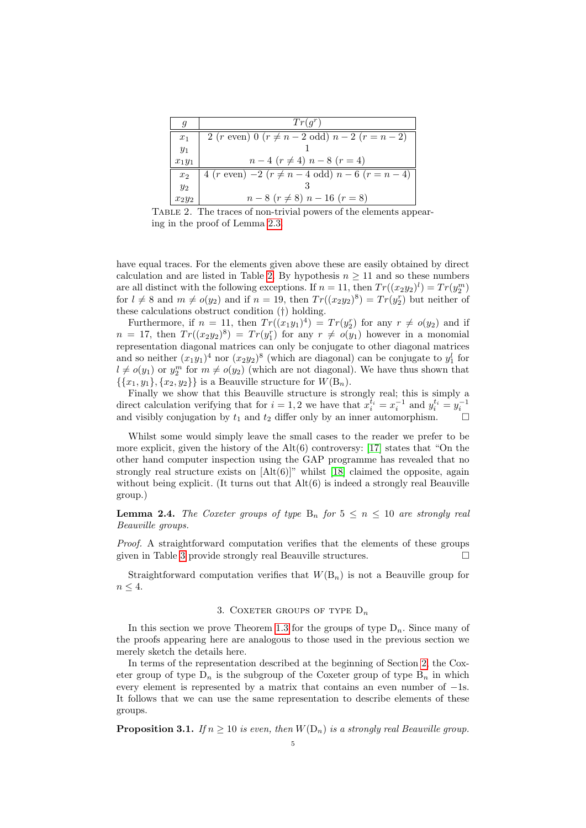| q              | $Tr(q^r)$                                                       |  |
|----------------|-----------------------------------------------------------------|--|
| $x_1$          | 2 ( <i>r</i> even) 0 ( $r \neq n-2$ odd) $n-2$ ( $r = n-2$ )    |  |
| $y_1$          |                                                                 |  |
| $x_1y_1$       | $n-4$ $(r \neq 4)$ $n-8$ $(r = 4)$                              |  |
| x <sub>2</sub> | 4 ( <i>r</i> even) $-2$ ( $r \neq n-4$ odd) $n-6$ ( $r = n-4$ ) |  |
| $y_2$          |                                                                 |  |
| $x_2y_2$       | $n-8$ $(r \neq 8)$ $n-16$ $(r = 8)$                             |  |

<span id="page-5-0"></span>Table 2. The traces of non-trivial powers of the elements appearing in the proof of Lemma [2.3.](#page-4-1)

have equal traces. For the elements given above these are easily obtained by direct calculation and are listed in Table [2.](#page-5-0) By hypothesis  $n \geq 11$  and so these numbers are all distinct with the following exceptions. If  $n = 11$ , then  $Tr((x_2y_2)^l) = Tr(y_2^m)$ for  $l \neq 8$  and  $m \neq o(y_2)$  and if  $n = 19$ , then  $Tr((x_2y_2)^8) = Tr(y_2^r)$  but neither of these calculations obstruct condition (†) holding.

Furthermore, if  $n = 11$ , then  $Tr((x_1y_1)^4) = Tr(y_2^r)$  for any  $r \neq o(y_2)$  and if  $n = 17$ , then  $Tr((x_2y_2)^8) = Tr(y_1^r)$  for any  $r \neq o(y_1)$  however in a monomial representation diagonal matrices can only be conjugate to other diagonal matrices and so neither  $(x_1y_1)^4$  nor  $(x_2y_2)^8$  (which are diagonal) can be conjugate to  $y_1^l$  for  $l \neq o(y_1)$  or  $y_2^m$  for  $m \neq o(y_2)$  (which are not diagonal). We have thus shown that  $\{\{x_1, y_1\}, \{x_2, y_2\}\}\$ is a Beauville structure for  $W(\mathcal{B}_n)$ .

Finally we show that this Beauville structure is strongly real; this is simply a direct calculation verifying that for  $i = 1, 2$  we have that  $x_i^{t_i} = x_i^{-1}$  and  $y_i^{t_i} = y_i^{-1}$ and visibly conjugation by  $t_1$  and  $t_2$  differ only by an inner automorphism.

Whilst some would simply leave the small cases to the reader we prefer to be more explicit, given the history of the  $Alt(6)$  controversy: [\[17\]](#page-14-8) states that "On the other hand computer inspection using the GAP programme has revealed that no strongly real structure exists on  $[Alt(6)]$ " whilst [\[18\]](#page-14-10) claimed the opposite, again without being explicit. (It turns out that  $Alt(6)$  is indeed a strongly real Beauville group.)

<span id="page-5-1"></span>**Lemma 2.4.** The Coxeter groups of type  $B_n$  for  $5 \le n \le 10$  are strongly real Beauville groups.

Proof. A straightforward computation verifies that the elements of these groups given in Table [3](#page-6-0) provide strongly real Beauville structures.

Straightforward computation verifies that  $W(B_n)$  is not a Beauville group for  $n \leq 4$ .

## 3. COXETER GROUPS OF TYPE  $D_n$

<span id="page-5-3"></span>In this section we prove Theorem [1.3](#page-2-0) for the groups of type  $D_n$ . Since many of the proofs appearing here are analogous to those used in the previous section we merely sketch the details here.

In terms of the representation described at the beginning of Section [2,](#page-3-2) the Coxeter group of type  $D_n$  is the subgroup of the Coxeter group of type  $B_n$  in which every element is represented by a matrix that contains an even number of −1s. It follows that we can use the same representation to describe elements of these groups.

<span id="page-5-2"></span>**Proposition 3.1.** If  $n \geq 10$  is even, then  $W(D_n)$  is a strongly real Beauville group.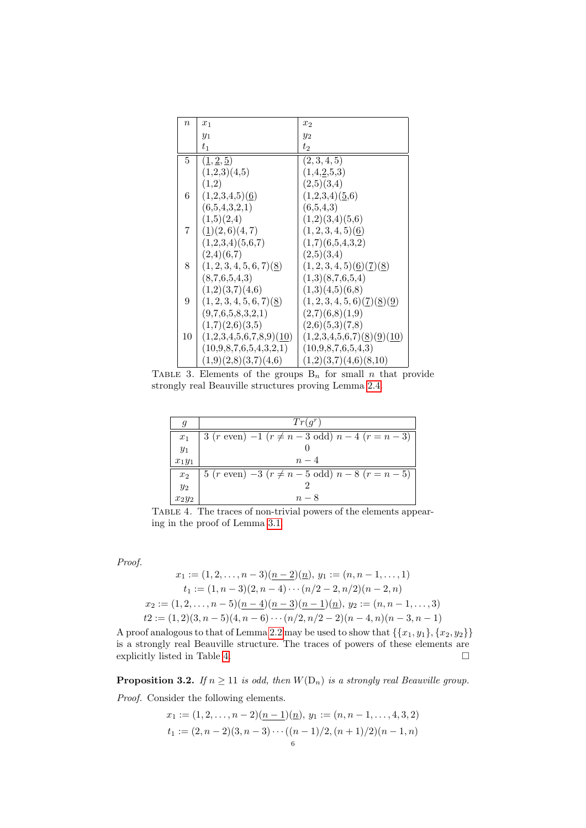| $\boldsymbol{n}$ | $x_1$                                           | $x_2$                                                                |
|------------------|-------------------------------------------------|----------------------------------------------------------------------|
|                  | $y_1$                                           | $y_2$                                                                |
|                  | $t_{1}$                                         | $t_2$                                                                |
| 5.               | $(\underline{1}, \underline{2}, \underline{5})$ | (2,3,4,5)                                                            |
|                  | (1,2,3)(4,5)                                    | $(1,4,\underline{2},5,3)$                                            |
|                  | (1,2)                                           | (2,5)(3,4)                                                           |
| 6                | $(1,2,3,4,5)$ (6)                               | (1,2,3,4)(5,6)                                                       |
|                  | (6,5,4,3,2,1)                                   | (6,5,4,3)                                                            |
|                  | (1,5)(2,4)                                      | (1,2)(3,4)(5,6)                                                      |
| 7                | $(\underline{1})(2,6)(4,7)$                     | $(1, 2, 3, 4, 5)$ $(6)$                                              |
|                  | (1,2,3,4)(5,6,7)                                | (1,7)(6,5,4,3,2)                                                     |
|                  | (2,4)(6,7)                                      | (2,5)(3,4)                                                           |
| 8                | $(1, 2, 3, 4, 5, 6, 7)$ $(8)$                   | $(1, 2, 3, 4, 5)$ $(6)$ $(7)$ $(8)$                                  |
|                  | (8,7,6,5,4,3)                                   | (1,3)(8,7,6,5,4)                                                     |
|                  | (1,2)(3,7)(4,6)                                 | (1,3)(4,5)(6,8)                                                      |
| 9                | (1, 2, 3, 4, 5, 6, 7)(8)                        | $(1, 2, 3, 4, 5, 6)$ $(\underline{7})(\underline{8})(\underline{9})$ |
|                  | (9,7,6,5,8,3,2,1)                               | (2,7)(6,8)(1,9)                                                      |
|                  | (1,7)(2,6)(3,5)                                 | (2,6)(5,3)(7,8)                                                      |
| 10               | $(1,2,3,4,5,6,7,8,9)$ $(10)$                    | $(1,2,3,4,5,6,7)$ $(8)(9)(10)$                                       |
|                  | (10,9,8,7,6,5,4,3,2,1)                          | (10,9,8,7,6,5,4,3)                                                   |
|                  | (1,9)(2,8)(3,7)(4,6)                            | (1,2)(3,7)(4,6)(8,10)                                                |

<span id="page-6-0"></span>TABLE 3. Elements of the groups  $B_n$  for small n that provide strongly real Beauville structures proving Lemma [2.4.](#page-5-1)

| g              | $Tr(q^r)$                                                       |  |
|----------------|-----------------------------------------------------------------|--|
| $x_1$          | 3 ( <i>r</i> even) $-1$ ( $r \neq n-3$ odd) $n-4$ ( $r = n-3$ ) |  |
| $y_1$          |                                                                 |  |
| $x_1y_1$       | $n-4$                                                           |  |
| x <sub>2</sub> | $5 (r \text{ even}) -3 (r \neq n-5 \text{ odd}) n-8 (r=n-5)$    |  |
| $y_2$          |                                                                 |  |
| $x_2y_2$       | $n - 8$                                                         |  |

<span id="page-6-1"></span>Table 4. The traces of non-trivial powers of the elements appearing in the proof of Lemma [3.1.](#page-5-2)

Proof.

$$
x_1 := (1, 2, \dots, n-3)(\underline{n-2})(\underline{n}), y_1 := (n, n-1, \dots, 1)
$$
  
\n
$$
t_1 := (1, n-3)(2, n-4) \cdots (n/2-2, n/2)(n-2, n)
$$
  
\n
$$
x_2 := (1, 2, \dots, n-5)(\underline{n-4})(\underline{n-3})(\underline{n-1})(\underline{n}), y_2 := (n, n-1, \dots, 3)
$$
  
\n
$$
t_2 := (1, 2)(3, n-5)(4, n-6) \cdots (n/2, n/2-2)(n-4, n)(n-3, n-1)
$$

A proof analogous to that of Lemma [2.2](#page-3-1) may be used to show that  $\{\{x_1, y_1\}, \{x_2, y_2\}\}\$ is a strongly real Beauville structure. The traces of powers of these elements are explicitly listed in Table [4.](#page-6-1)  $\hfill \square$ 

<span id="page-6-2"></span>**Proposition 3.2.** If  $n \geq 11$  is odd, then  $W(D_n)$  is a strongly real Beauville group. Proof. Consider the following elements.

$$
x_1 := (1, 2, \dots, n-2)(\underline{n-1})(\underline{n}), y_1 := (n, n-1, \dots, 4, 3, 2)
$$
  

$$
t_1 := (2, n-2)(3, n-3) \cdots ((n-1)/2, (n+1)/2)(n-1, n)
$$
  
6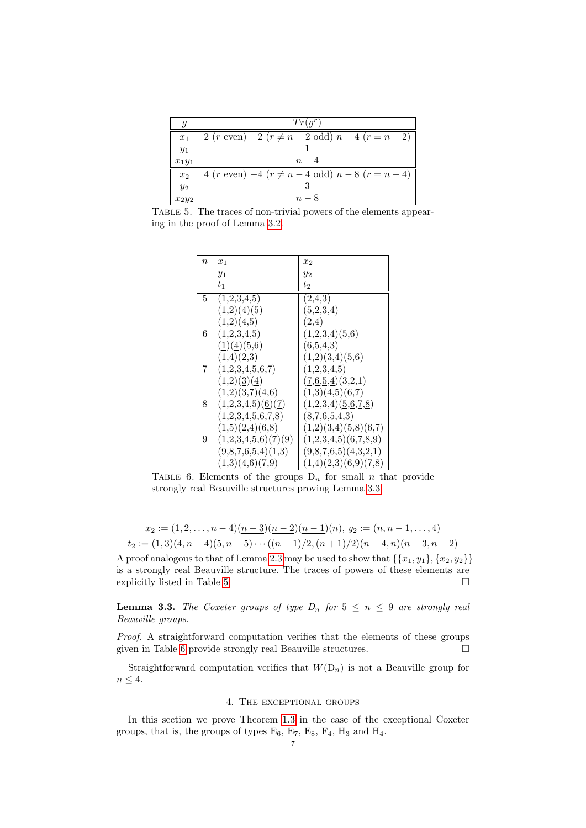| q              | $Tr(q^r)$                                                             |  |
|----------------|-----------------------------------------------------------------------|--|
| $x_1$          | $2 (r \text{ even}) - 2 (r \neq n - 2 \text{ odd}) n - 4 (r = n - 2)$ |  |
| $y_1$          |                                                                       |  |
| $x_1y_1$       | $n-4$                                                                 |  |
| x <sub>2</sub> | 4 ( <i>r</i> even) $-4$ ( $r \neq n-4$ odd) $n-8$ ( $r = n-4$ )       |  |
| $y_2$          |                                                                       |  |
| $x_2y_2$       | $n-8$                                                                 |  |

<span id="page-7-1"></span>Table 5. The traces of non-trivial powers of the elements appearing in the proof of Lemma [3.2.](#page-6-2)

| $\boldsymbol{n}$ | $x_1$                                          | $x_2$                                                                     |
|------------------|------------------------------------------------|---------------------------------------------------------------------------|
|                  | $y_1$                                          | $y_2$                                                                     |
|                  | $t_{1}$                                        | $t_2$                                                                     |
| 5                | (1,2,3,4,5)                                    | (2,4,3)                                                                   |
|                  | $(1,2)(\underline{4})(\underline{5})$          | (5,2,3,4)                                                                 |
|                  | (1,2)(4,5)                                     | (2,4)                                                                     |
| 6                | (1,2,3,4,5)                                    | $(\underline{1},\underline{2},\underline{3},\underline{4})(5,6)$          |
|                  | (1)(4)(5,6)                                    | (6,5,4,3)                                                                 |
|                  | (1,4)(2,3)                                     | (1,2)(3,4)(5,6)                                                           |
| 7                | (1,2,3,4,5,6,7)                                | (1,2,3,4,5)                                                               |
|                  | (1,2)(3)(4)                                    | $(\underline{7,6,5,4})(3,2,1)$                                            |
|                  | (1,2)(3,7)(4,6)                                | (1,3)(4,5)(6,7)                                                           |
| 8                | $(1,2,3,4,5)$ $(\underline{6})(\underline{7})$ | $(1,2,3,4)$ $(\underline{5},\underline{6},\underline{7},\underline{8})$   |
|                  | (1,2,3,4,5,6,7,8)                              | (8,7,6,5,4,3)                                                             |
|                  | (1,5)(2,4)(6,8)                                | (1,2)(3,4)(5,8)(6,7)                                                      |
| 9                | (1,2,3,4,5,6)(7)(9)                            | $(1,2,3,4,5)$ $(\underline{6},\underline{7},\underline{8},\underline{9})$ |
|                  | (9,8,7,6,5,4)(1,3)                             | (9,8,7,6,5)(4,3,2,1)                                                      |
|                  | (1,3)(4,6)(7,9)                                | (1,4)(2,3)(6,9)(7,8)                                                      |

<span id="page-7-2"></span>TABLE 6. Elements of the groups  $D_n$  for small n that provide strongly real Beauville structures proving Lemma [3.3.](#page-7-0)

$$
x_2 := (1, 2, \dots, n-4)(\underline{n-3})(\underline{n-2})(\underline{n-1})(\underline{n}), y_2 := (n, n-1, \dots, 4)
$$
  

$$
t_2 := (1, 3)(4, n-4)(5, n-5) \cdots ((n-1)/2, (n+1)/2)(n-4, n)(n-3, n-2)
$$

A proof analogous to that of Lemma [2.3](#page-4-1) may be used to show that  $\{\{x_1, y_1\}, \{x_2, y_2\}\}\$ is a strongly real Beauville structure. The traces of powers of these elements are explicitly listed in Table [5.](#page-7-1)

<span id="page-7-0"></span>**Lemma 3.3.** The Coxeter groups of type  $D_n$  for  $5 \le n \le 9$  are strongly real Beauville groups.

Proof. A straightforward computation verifies that the elements of these groups given in Table [6](#page-7-2) provide strongly real Beauville structures.  $\Box$ 

Straightforward computation verifies that  $W(D_n)$  is not a Beauville group for  $n\leq 4.$ 

#### 4. The exceptional groups

<span id="page-7-3"></span>In this section we prove Theorem [1.3](#page-2-0) in the case of the exceptional Coxeter groups, that is, the groups of types  $E_6$ ,  $E_7$ ,  $E_8$ ,  $F_4$ ,  $H_3$  and  $H_4$ .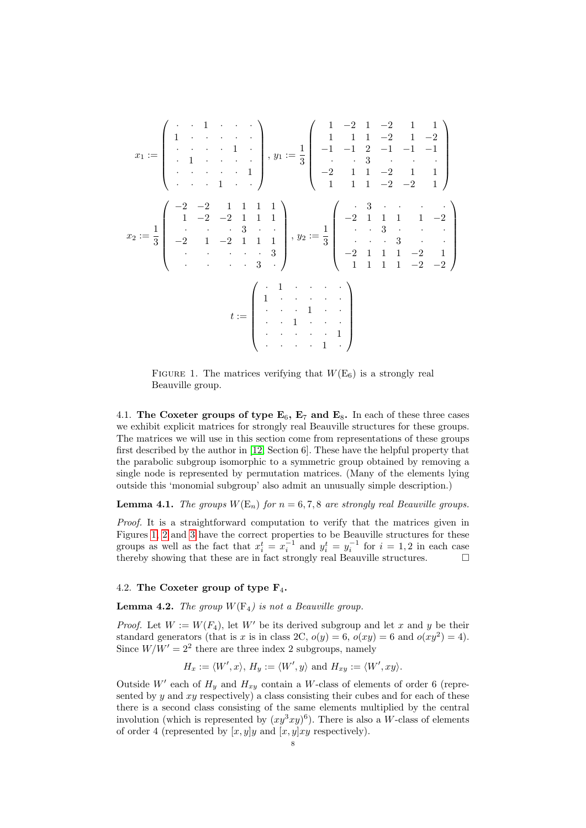$$
x_1 := \begin{pmatrix} \cdot & \cdot & 1 & \cdot & \cdot & \cdot & \cdot \\ 1 & \cdot & \cdot & \cdot & \cdot & 1 & \cdot \\ \cdot & 1 & \cdot & \cdot & \cdot & 1 & \cdot \\ \cdot & 1 & \cdot & \cdot & \cdot & 1 & \cdot \\ \cdot & \cdot & \cdot & \cdot & 1 & \cdot & \cdot \end{pmatrix}, y_1 := \frac{1}{3} \begin{pmatrix} 1 & -2 & 1 & -2 & 1 & 1 \\ 1 & 1 & 1 & -2 & 1 & -2 \\ -1 & -1 & 2 & -1 & -1 & -1 \\ \cdot & \cdot & 3 & \cdot & \cdot & \cdot \\ -2 & 1 & 1 & -2 & 1 & -1 \\ 1 & 1 & 1 & -2 & -2 & 1 \end{pmatrix}
$$

$$
x_2 := \frac{1}{3} \begin{pmatrix} -2 & -2 & 1 & 1 & 1 \\ 1 & -2 & -2 & 1 & 1 & 1 \\ \cdot & \cdot & \cdot & 3 & \cdot & \cdot \\ -2 & 1 & 1 & 1 & 1 & \cdot \\ \cdot & \cdot & \cdot & \cdot & 3 & \cdot \\ -2 & 1 & 1 & 1 & -2 & -2 \end{pmatrix}, y_2 := \frac{1}{3} \begin{pmatrix} \cdot & 3 & \cdot & \cdot & \cdot & \cdot \\ -2 & 1 & 1 & 1 & 1 & -2 \\ \cdot & \cdot & 3 & \cdot & \cdot & \cdot \\ -2 & 1 & 1 & 1 & -2 & -1 \\ 1 & 1 & 1 & -2 & -2 & 1 \\ \cdot & \cdot & \cdot & \cdot & 3 & \cdot \\ \cdot & \cdot & \cdot & \cdot & 1 & \cdot \\ \cdot & \cdot & \cdot & \cdot & \cdot & 1 \end{pmatrix}
$$

$$
t := \begin{pmatrix} \cdot & 1 & \cdot & \cdot & \cdot & \cdot \\ \cdot & 1 & \cdot & \cdot & \cdot & \cdot \\ \cdot & \cdot & \cdot & 1 & \cdot & \cdot \\ \cdot & \cdot & \cdot & \cdot & \cdot & \cdot \\ \cdot & \cdot & \cdot & \cdot & \cdot & \cdot \\ \cdot & \cdot & \cdot & \cdot & \cdot & \cdot \\ \cdot & \cdot & \cdot & \cdot & \cdot & \cdot \end{pmatrix}
$$

<span id="page-8-0"></span>FIGURE 1. The matrices verifying that  $W(E_6)$  is a strongly real Beauville group.

4.1. The Coxeter groups of type  $E_6$ ,  $E_7$  and  $E_8$ . In each of these three cases we exhibit explicit matrices for strongly real Beauville structures for these groups. The matrices we will use in this section come from representations of these groups first described by the author in [\[12,](#page-14-22) Section 6]. These have the helpful property that the parabolic subgroup isomorphic to a symmetric group obtained by removing a single node is represented by permutation matrices. (Many of the elements lying outside this 'monomial subgroup' also admit an unusually simple description.)

**Lemma 4.1.** The groups  $W(E_n)$  for  $n = 6, 7, 8$  are strongly real Beauville groups.

Proof. It is a straightforward computation to verify that the matrices given in Figures [1,](#page-8-0) [2](#page-9-0) and [3](#page-10-0) have the correct properties to be Beauville structures for these groups as well as the fact that  $x_i^t = x_i^{-1}$  and  $y_i^t = y_i^{-1}$  for  $i = 1, 2$  in each case thereby showing that these are in fact strongly real Beauville structures.  $\Box$ 

# 4.2. The Coxeter group of type  $F_4$ .

**Lemma 4.2.** The group  $W(\mathrm{F}_4)$  is not a Beauville group.

*Proof.* Let  $W := W(F_4)$ , let  $W'$  be its derived subgroup and let x and y be their standard generators (that is x is in class 2C,  $o(y) = 6$ ,  $o(xy) = 6$  and  $o(xy^2) = 4$ ). Since  $W/W' = 2<sup>2</sup>$  there are three index 2 subgroups, namely

 $H_x := \langle W', x \rangle, H_y := \langle W', y \rangle \text{ and } H_{xy} := \langle W', xy \rangle.$ 

Outside  $W'$  each of  $H_y$  and  $H_{xy}$  contain a W-class of elements of order 6 (represented by y and xy respectively) a class consisting their cubes and for each of these there is a second class consisting of the same elements multiplied by the central involution (which is represented by  $(xy^3xy)^6$ ). There is also a W-class of elements of order 4 (represented by  $[x, y]y$  and  $[x, y]xy$  respectively).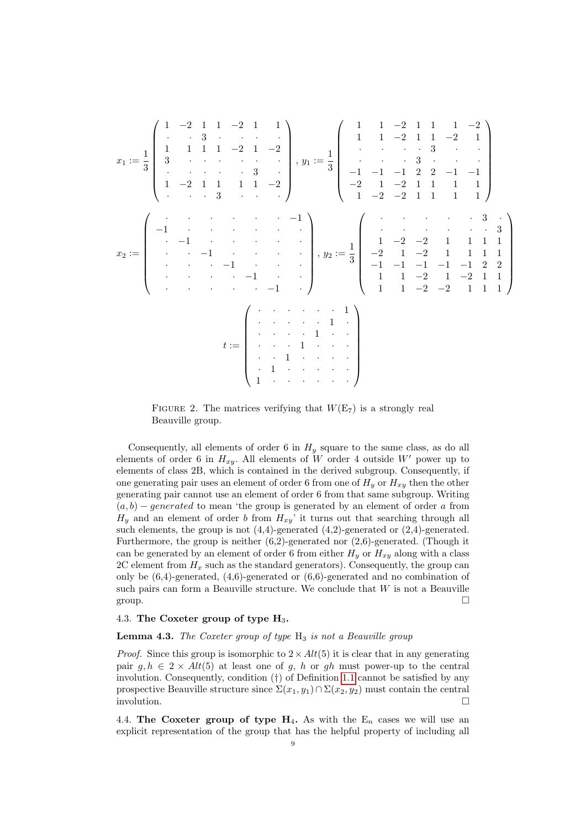x<sup>1</sup> := 1 3 1 −2 1 1 −2 1 1 · · 3 · · · · 1 1 1 1 −2 1 −2 3 · · · · · · · · · · · 3 · 1 −2 1 1 1 1 −2 · · · 3 · · · , y<sup>1</sup> := 1 3 1 1 −2 1 1 1 −2 1 1 −2 1 1 −2 1 · · · · 3 · · · · · 3 · · · −1 −1 −1 2 2 −1 −1 −2 1 −2 1 1 1 1 1 −2 −2 1 1 1 1 x<sup>2</sup> := · · · · · · −1 −1 · · · · · · · −1 · · · · · · · −1 · · · · · · · −1 · · · · · · · −1 · · · · · · · −1 · , y<sup>2</sup> := 1 3 · · · · · 3 · · · · · · · 3 1 −2 −2 1 1 1 1 −2 1 −2 1 1 1 1 −1 −1 −1 −1 −1 2 2 1 1 −2 1 −2 1 1 1 1 −2 −2 1 1 1 t := · · · · · · 1 · · · · · 1 · · · · · 1 · · · · · 1 · · · · · 1 · · · · · 1 · · · · · 1 · · · · · · 

<span id="page-9-0"></span>FIGURE 2. The matrices verifying that  $W(E_7)$  is a strongly real Beauville group.

Consequently, all elements of order 6 in  $H<sub>y</sub>$  square to the same class, as do all elements of order 6 in  $H_{xy}$ . All elements of W order 4 outside W' power up to elements of class 2B, which is contained in the derived subgroup. Consequently, if one generating pair uses an element of order 6 from one of  $H<sub>y</sub>$  or  $H<sub>xy</sub>$  then the other generating pair cannot use an element of order 6 from that same subgroup. Writing  $(a, b)$  – generated to mean 'the group is generated by an element of order a from  $H_y$  and an element of order b from  $H_{xy}$ <sup>7</sup> it turns out that searching through all such elements, the group is not (4,4)-generated (4,2)-generated or (2,4)-generated. Furthermore, the group is neither (6,2)-generated nor (2,6)-generated. (Though it can be generated by an element of order 6 from either  $H_y$  or  $H_{xy}$  along with a class 2C element from  $H_x$  such as the standard generators). Consequently, the group can only be  $(6,4)$ -generated,  $(4,6)$ -generated or  $(6,6)$ -generated and no combination of such pairs can form a Beauville structure. We conclude that  $W$  is not a Beauville group.

# 4.3. The Coxeter group of type  $H_3$ .

## **Lemma 4.3.** The Coxeter group of type  $H_3$  is not a Beauville group

*Proof.* Since this group is isomorphic to  $2 \times Alt(5)$  it is clear that in any generating pair  $g, h \in 2 \times Alt(5)$  at least one of g, h or gh must power-up to the central involution. Consequently, condition (†) of Definition [1.1](#page-1-0) cannot be satisfied by any prospective Beauville structure since  $\Sigma(x_1, y_1) \cap \Sigma(x_2, y_2)$  must contain the central involution.

4.4. The Coxeter group of type  $H_4$ . As with the  $E_n$  cases we will use an explicit representation of the group that has the helpful property of including all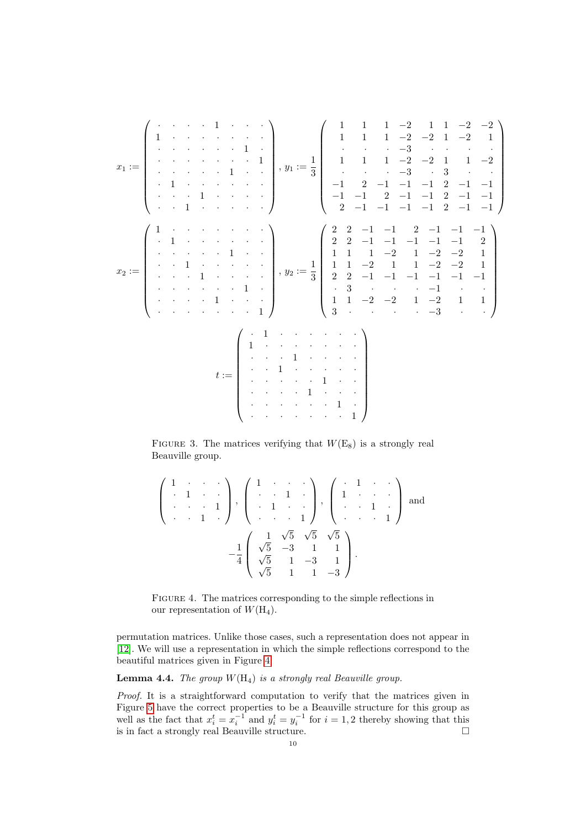

<span id="page-10-0"></span>FIGURE 3. The matrices verifying that  $W(E_8)$  is a strongly real Beauville group.

$$
\begin{pmatrix}\n1 & \cdots & \cdots \\
\cdot & 1 & \cdots & 1 \\
\cdot & \cdots & 1 & \cdot\n\end{pmatrix}, \begin{pmatrix}\n1 & \cdots & \cdots \\
\cdot & 1 & \cdots & \cdot \\
\cdot & 1 & \cdots & 1\n\end{pmatrix}, \begin{pmatrix}\n\cdot & 1 & \cdots & \cdot \\
1 & \cdots & \cdot & \cdot \\
\cdot & \cdots & 1 & \cdot \\
\cdot & \cdots & 1 & \cdot\n\end{pmatrix} \text{ and }
$$
\n
$$
-\frac{1}{4} \begin{pmatrix}\n\frac{1}{\sqrt{5}} & \sqrt{5} & \sqrt{5} & \sqrt{5} \\
\sqrt{5} & -3 & 1 & 1 \\
\sqrt{5} & 1 & -3 & 1 \\
\sqrt{5} & 1 & 1 & -3\n\end{pmatrix}.
$$

<span id="page-10-1"></span>FIGURE 4. The matrices corresponding to the simple reflections in our representation of  $W(H_4)$ .

permutation matrices. Unlike those cases, such a representation does not appear in [\[12\]](#page-14-22). We will use a representation in which the simple reflections correspond to the beautiful matrices given in Figure [4.](#page-10-1)

**Lemma 4.4.** The group  $W(H_4)$  is a strongly real Beauville group.

Proof. It is a straightforward computation to verify that the matrices given in Figure [5](#page-11-1) have the correct properties to be a Beauville structure for this group as well as the fact that  $x_i^t = x_i^{-1}$  and  $y_i^t = y_i^{-1}$  for  $i = 1, 2$  thereby showing that this is in fact a strongly real Beauville structure.  $\Box$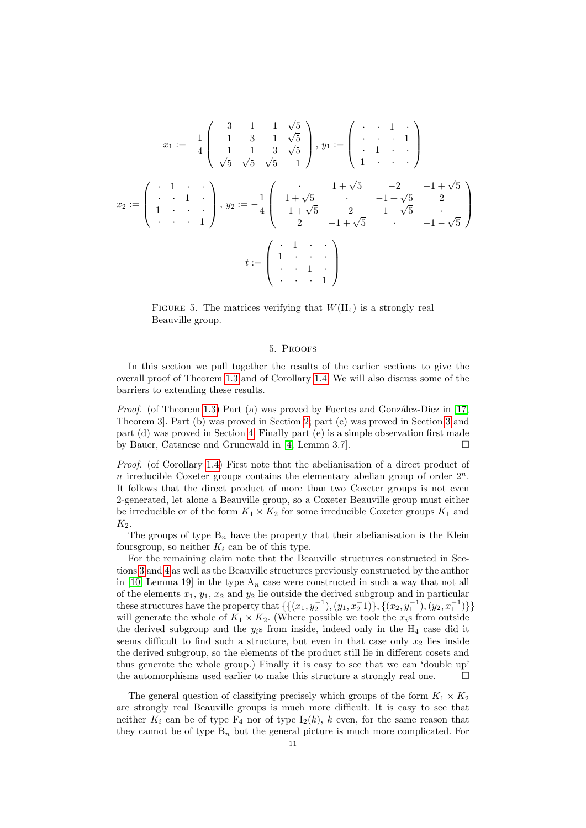$$
x_1 := -\frac{1}{4} \begin{pmatrix} -3 & 1 & 1 & \sqrt{5} \\ 1 & -3 & 1 & \sqrt{5} \\ 1 & 1 & -3 & \sqrt{5} \\ \sqrt{5} & \sqrt{5} & \sqrt{5} & 1 \end{pmatrix}, y_1 := \begin{pmatrix} 1 & 1 & 1 \\ 1 & 1 & 1 \\ 1 & 1 & 1 \\ 1 & 1 & 1 \end{pmatrix}
$$

$$
x_2 := \begin{pmatrix} 1 & 1 & 1 \\ 1 & 1 & 1 \\ 1 & 1 & 1 \\ 1 & 1 & 1 \end{pmatrix}, y_2 := -\frac{1}{4} \begin{pmatrix} 1 + \sqrt{5} & -2 & -1 + \sqrt{5} \\ 1 + \sqrt{5} & -2 & -1 - \sqrt{5} \\ -1 + \sqrt{5} & -2 & -1 - \sqrt{5} \end{pmatrix}
$$

$$
t := \begin{pmatrix} 1 & 1 & 1 \\ 1 & 1 & 1 \\ 1 & 1 & 1 \\ 1 & 1 & 1 \end{pmatrix}
$$

<span id="page-11-1"></span>FIGURE 5. The matrices verifying that  $W(H_4)$  is a strongly real Beauville group.

## 5. Proofs

<span id="page-11-0"></span>In this section we pull together the results of the earlier sections to give the overall proof of Theorem [1.3](#page-2-0) and of Corollary [1.4.](#page-2-1) We will also discuss some of the barriers to extending these results.

*Proof.* (of Theorem [1.3\)](#page-2-0) Part (a) was proved by Fuertes and González-Diez in [\[17,](#page-14-8) Theorem 3]. Part (b) was proved in Section [2;](#page-3-2) part (c) was proved in Section [3](#page-5-3) and part (d) was proved in Section [4.](#page-7-3) Finally part (e) is a simple observation first made by Bauer, Catanese and Grunewald in [\[4,](#page-13-0) Lemma 3.7].

Proof. (of Corollary [1.4\)](#page-2-1) First note that the abelianisation of a direct product of n irreducible Coxeter groups contains the elementary abelian group of order  $2^n$ . It follows that the direct product of more than two Coxeter groups is not even 2-generated, let alone a Beauville group, so a Coxeter Beauville group must either be irreducible or of the form  $K_1 \times K_2$  for some irreducible Coxeter groups  $K_1$  and  $K_2$ .

The groups of type  $B_n$  have the property that their abelianisation is the Klein foursgroup, so neither  $K_i$  can be of this type.

For the remaining claim note that the Beauville structures constructed in Sections [3](#page-5-3) and [4](#page-7-3) as well as the Beauville structures previously constructed by the author in [\[10,](#page-14-16) Lemma 19] in the type  $A_n$  case were constructed in such a way that not all of the elements  $x_1, y_1, x_2$  and  $y_2$  lie outside the derived subgroup and in particular these structures have the property that  $\{\{(x_1, y_2^{-1}), (y_1, x_2^{-1})\}, \{(x_2, y_1^{-1}), (y_2, x_1^{-1})\}\}\$ will generate the whole of  $K_1 \times K_2$ . (Where possible we took the  $x_i$ s from outside the derived subgroup and the  $y_i$ s from inside, indeed only in the  $H_4$  case did it seems difficult to find such a structure, but even in that case only  $x_2$  lies inside the derived subgroup, so the elements of the product still lie in different cosets and thus generate the whole group.) Finally it is easy to see that we can 'double up' the automorphisms used earlier to make this structure a strongly real one.  $\Box$ 

The general question of classifying precisely which groups of the form  $K_1 \times K_2$ are strongly real Beauville groups is much more difficult. It is easy to see that neither  $K_i$  can be of type  $F_4$  nor of type  $I_2(k)$ , k even, for the same reason that they cannot be of type  $B_n$  but the general picture is much more complicated. For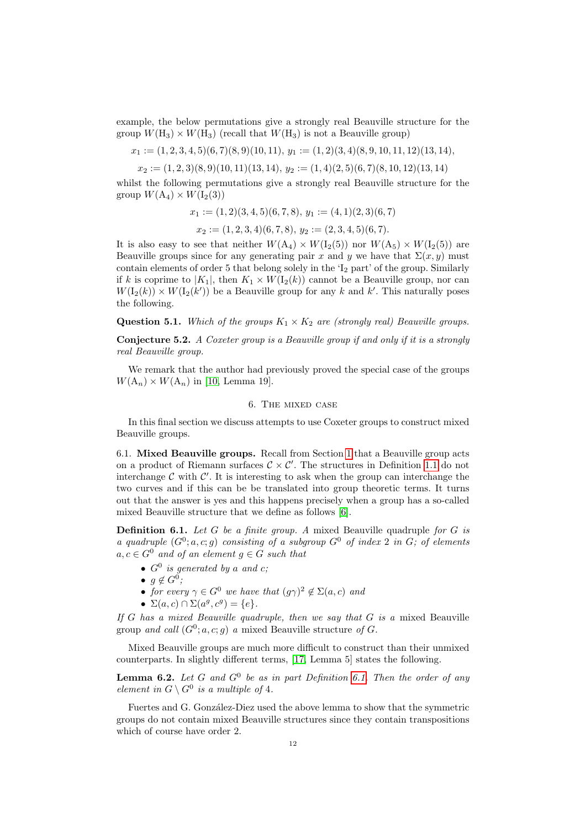example, the below permutations give a strongly real Beauville structure for the group  $W(H_3) \times W(H_3)$  (recall that  $W(H_3)$ ) is not a Beauville group)

$$
x_1 := (1, 2, 3, 4, 5)(6, 7)(8, 9)(10, 11), y_1 := (1, 2)(3, 4)(8, 9, 10, 11, 12)(13, 14),
$$

 $x_2 := (1, 2, 3)(8, 9)(10, 11)(13, 14), y_2 := (1, 4)(2, 5)(6, 7)(8, 10, 12)(13, 14)$ 

whilst the following permutations give a strongly real Beauville structure for the group  $W(A_4) \times W(I_2(3))$ 

$$
x_1 := (1,2)(3,4,5)(6,7,8), y_1 := (4,1)(2,3)(6,7)
$$
  

$$
x_2 := (1,2,3,4)(6,7,8), y_2 := (2,3,4,5)(6,7).
$$

It is also easy to see that neither  $W(A_4) \times W(I_2(5))$  nor  $W(A_5) \times W(I_2(5))$  are Beauville groups since for any generating pair x and y we have that  $\Sigma(x, y)$  must contain elements of order 5 that belong solely in the  $I_2$  part' of the group. Similarly if k is coprime to  $|K_1|$ , then  $K_1 \times W(I_2(k))$  cannot be a Beauville group, nor can  $W(I_2(k)) \times W(I_2(k'))$  be a Beauville group for any k and k'. This naturally poses the following.

**Question 5.1.** Which of the groups  $K_1 \times K_2$  are (strongly real) Beauville groups.

Conjecture 5.2. A Coxeter group is a Beauville group if and only if it is a strongly real Beauville group.

We remark that the author had previously proved the special case of the groups  $W(A_n) \times W(A_n)$  in [\[10,](#page-14-16) Lemma 19].

## 6. The mixed case

In this final section we discuss attempts to use Coxeter groups to construct mixed Beauville groups.

6.1. Mixed Beauville groups. Recall from Section [1](#page-1-1) that a Beauville group acts on a product of Riemann surfaces  $C \times C'$ . The structures in Definition [1.1](#page-1-0) do not interchange  $\mathcal C$  with  $\mathcal C'$ . It is interesting to ask when the group can interchange the two curves and if this can be be translated into group theoretic terms. It turns out that the answer is yes and this happens precisely when a group has a so-called mixed Beauville structure that we define as follows [\[6\]](#page-14-2).

<span id="page-12-0"></span>**Definition 6.1.** Let G be a finite group. A mixed Beauville quadruple for G is a quadruple  $(G^0; a, c; g)$  consisting of a subgroup  $G^0$  of index 2 in G; of elements  $a, c \in G^0$  and of an element  $g \in G$  such that

- $G^0$  is generated by a and c;
- $g \notin G^0$ ;
- for every  $\gamma \in G^0$  we have that  $(g\gamma)^2 \notin \Sigma(a,c)$  and
- $\Sigma(a, c) \cap \Sigma(a^g, c^g) = \{e\}.$

If G has a mixed Beauville quadruple, then we say that  $G$  is a mixed Beauville group and call  $(G^0; a, c; g)$  a mixed Beauville structure of G.

Mixed Beauville groups are much more difficult to construct than their unmixed counterparts. In slightly different terms, [\[17,](#page-14-8) Lemma 5] states the following.

<span id="page-12-1"></span>**Lemma 6.2.** Let G and  $G^0$  be as in part Definition [6.1.](#page-12-0) Then the order of any element in  $G \setminus G^0$  is a multiple of 4.

Fuertes and G. González-Diez used the above lemma to show that the symmetric groups do not contain mixed Beauville structures since they contain transpositions which of course have order 2.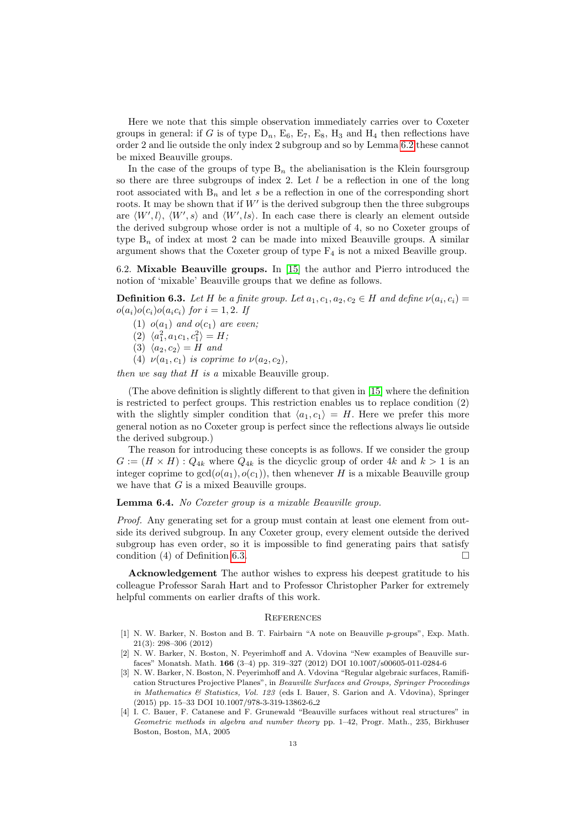Here we note that this simple observation immediately carries over to Coxeter groups in general: if G is of type  $D_n$ ,  $E_6$ ,  $E_7$ ,  $E_8$ ,  $H_3$  and  $H_4$  then reflections have order 2 and lie outside the only index 2 subgroup and so by Lemma [6.2](#page-12-1) these cannot be mixed Beauville groups.

In the case of the groups of type  $B_n$  the abelianisation is the Klein foursgroup so there are three subgroups of index 2. Let  $l$  be a reflection in one of the long root associated with  $B_n$  and let s be a reflection in one of the corresponding short roots. It may be shown that if  $W'$  is the derived subgroup then the three subgroups are  $\langle W', l \rangle$ ,  $\langle W', s \rangle$  and  $\langle W', ls \rangle$ . In each case there is clearly an element outside the derived subgroup whose order is not a multiple of 4, so no Coxeter groups of type  $B_n$  of index at most 2 can be made into mixed Beauville groups. A similar argument shows that the Coxeter group of type  $F_4$  is not a mixed Beaville group.

6.2. Mixable Beauville groups. In [\[15\]](#page-14-23) the author and Pierro introduced the notion of 'mixable' Beauville groups that we define as follows.

<span id="page-13-4"></span>**Definition 6.3.** Let H be a finite group. Let  $a_1, c_1, a_2, c_2 \in H$  and define  $\nu(a_i, c_i) =$  $o(a_i)o(c_i)o(a_ic_i)$  for  $i = 1, 2$ . If

(1)  $o(a_1)$  and  $o(c_1)$  are even;

- (2)  $\langle a_1^2, a_1c_1, c_1^2 \rangle = H;$
- (3)  $\langle a_2, c_2 \rangle = H$  and

(4)  $\nu(a_1, c_1)$  is coprime to  $\nu(a_2, c_2)$ ,

then we say that  $H$  is a mixable Beauville group.

(The above definition is slightly different to that given in [\[15\]](#page-14-23) where the definition is restricted to perfect groups. This restriction enables us to replace condition (2) with the slightly simpler condition that  $\langle a_1, c_1 \rangle = H$ . Here we prefer this more general notion as no Coxeter group is perfect since the reflections always lie outside the derived subgroup.)

The reason for introducing these concepts is as follows. If we consider the group  $G := (H \times H) : Q_{4k}$  where  $Q_{4k}$  is the dicyclic group of order 4k and  $k > 1$  is an integer coprime to  $gcd(o(a_1), o(c_1))$ , then whenever H is a mixable Beauville group we have that  $G$  is a mixed Beauville groups.

## Lemma 6.4. No Coxeter group is a mixable Beauville group.

Proof. Any generating set for a group must contain at least one element from outside its derived subgroup. In any Coxeter group, every element outside the derived subgroup has even order, so it is impossible to find generating pairs that satisfy condition (4) of Definition [6.3.](#page-13-4)

Acknowledgement The author wishes to express his deepest gratitude to his colleague Professor Sarah Hart and to Professor Christopher Parker for extremely helpful comments on earlier drafts of this work.

#### **REFERENCES**

- <span id="page-13-1"></span>[1] N. W. Barker, N. Boston and B. T. Fairbairn "A note on Beauville p-groups", Exp. Math. 21(3): 298–306 (2012)
- <span id="page-13-2"></span>[2] N. W. Barker, N. Boston, N. Peyerimhoff and A. Vdovina "New examples of Beauville surfaces" Monatsh. Math. 166 (3–4) pp. 319–327 (2012) DOI 10.1007/s00605-011-0284-6
- <span id="page-13-3"></span>[3] N. W. Barker, N. Boston, N. Peyerimhoff and A. Vdovina "Regular algebraic surfaces, Ramification Structures Projective Planes", in Beauville Surfaces and Groups, Springer Proceedings in Mathematics & Statistics, Vol. 123 (eds I. Bauer, S. Garion and A. Vdovina), Springer (2015) pp. 15–33 DOI 10.1007/978-3-319-13862-6 2
- <span id="page-13-0"></span>[4] I. C. Bauer, F. Catanese and F. Grunewald "Beauville surfaces without real structures" in Geometric methods in algebra and number theory pp. 1–42, Progr. Math., 235, Birkhuser Boston, Boston, MA, 2005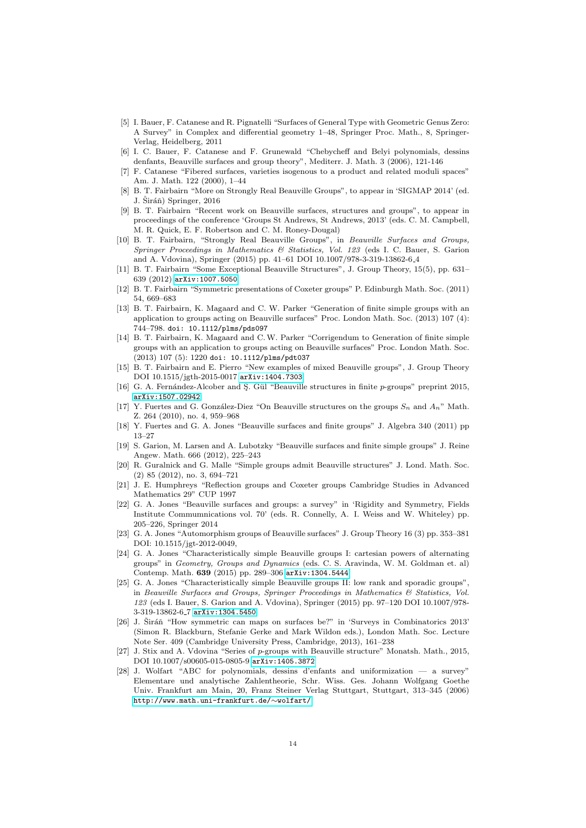- <span id="page-14-3"></span>[5] I. Bauer, F. Catanese and R. Pignatelli "Surfaces of General Type with Geometric Genus Zero: A Survey" in Complex and differential geometry 1–48, Springer Proc. Math., 8, Springer-Verlag, Heidelberg, 2011
- <span id="page-14-2"></span>[6] I. C. Bauer, F. Catanese and F. Grunewald "Chebycheff and Belyi polynomials, dessins denfants, Beauville surfaces and group theory", Mediterr. J. Math. 3 (2006), 121-146
- <span id="page-14-1"></span>[7] F. Catanese "Fibered surfaces, varieties isogenous to a product and related moduli spaces" Am. J. Math. 122 (2000), 1–44
- <span id="page-14-15"></span>[8] B. T. Fairbairn "More on Strongly Real Beauville Groups", to appear in 'SIGMAP 2014' (ed. J.  $\check{S}$ iráň) Springer, 2016
- <span id="page-14-4"></span>[9] B. T. Fairbairn "Recent work on Beauville surfaces, structures and groups", to appear in proceedings of the conference 'Groups St Andrews, St Andrews, 2013' (eds. C. M. Campbell, M. R. Quick, E. F. Robertson and C. M. Roney-Dougal)
- <span id="page-14-16"></span>[10] B. T. Fairbairn, "Strongly Real Beauville Groups", in Beauville Surfaces and Groups, Springer Proceedings in Mathematics & Statistics, Vol. 123 (eds I. C. Bauer, S. Garion and A. Vdovina), Springer (2015) pp. 41–61 DOI 10.1007/978-3-319-13862-6 4
- <span id="page-14-9"></span>[11] B. T. Fairbairn "Some Exceptional Beauville Structures", J. Group Theory, 15(5), pp. 631– 639 (2012) [arXiv:1007.5050](http://arxiv.org/abs/1007.5050)
- <span id="page-14-22"></span>[12] B. T. Fairbairn "Symmetric presentations of Coxeter groups" P. Edinburgh Math. Soc. (2011) 54, 669–683
- <span id="page-14-11"></span>[13] B. T. Fairbairn, K. Magaard and C. W. Parker "Generation of finite simple groups with an application to groups acting on Beauville surfaces" Proc. London Math. Soc. (2013) 107 (4): 744–798. doi: 10.1112/plms/pds097
- <span id="page-14-12"></span>[14] B. T. Fairbairn, K. Magaard and C.W. Parker "Corrigendum to Generation of finite simple groups with an application to groups acting on Beauville surfaces" Proc. London Math. Soc. (2013) 107 (5): 1220 doi: 10.1112/plms/pdt037
- <span id="page-14-23"></span>[15] B. T. Fairbairn and E. Pierro "New examples of mixed Beauville groups", J. Group Theory DOI 10.1515/jgth-2015-0017 [arXiv:1404.7303](http://arxiv.org/abs/1404.7303)
- <span id="page-14-19"></span>[16] G. A. Fernández-Alcober and S. Gül "Beauville structures in finite p-groups" preprint 2015, [arXiv:1507.02942](http://arxiv.org/abs/1507.02942)
- <span id="page-14-8"></span>[17] Y. Fuertes and G. González-Diez "On Beauville structures on the groups  $S_n$  and  $A_n$ " Math. Z. 264 (2010), no. 4, 959–968
- <span id="page-14-10"></span>[18] Y. Fuertes and G. A. Jones "Beauville surfaces and finite groups" J. Algebra 340 (2011) pp 13–27
- <span id="page-14-13"></span>[19] S. Garion, M. Larsen and A. Lubotzky "Beauville surfaces and finite simple groups" J. Reine Angew. Math. 666 (2012), 225–243
- <span id="page-14-14"></span>[20] R. Guralnick and G. Malle "Simple groups admit Beauville structures" J. Lond. Math. Soc. (2) 85 (2012), no. 3, 694–721
- <span id="page-14-21"></span>[21] J. E. Humphreys "Reflection groups and Coxeter groups Cambridge Studies in Advanced Mathematics 29" CUP 1997
- <span id="page-14-5"></span>[22] G. A. Jones "Beauville surfaces and groups: a survey" in 'Rigidity and Symmetry, Fields Institute Commumnications vol. 70' (eds. R. Connelly, A. I. Weiss and W. Whiteley) pp. 205–226, Springer 2014
- <span id="page-14-0"></span>[23] G. A. Jones "Automorphism groups of Beauville surfaces" J. Group Theory 16 (3) pp. 353–381 DOI: 10.1515/jgt-2012-0049,
- <span id="page-14-17"></span>[24] G. A. Jones "Characteristically simple Beauville groups I: cartesian powers of alternating groups" in Geometry, Groups and Dynamics (eds. C. S. Aravinda, W. M. Goldman et. al) Contemp. Math. 639 (2015) pp. 289–306 [arXiv:1304.5444](http://arxiv.org/abs/1304.5444)
- <span id="page-14-18"></span>[25] G. A. Jones "Characteristically simple Beauville groups II: low rank and sporadic groups", in Beauville Surfaces and Groups, Springer Proceedings in Mathematics & Statistics, Vol. 123 (eds I. Bauer, S. Garion and A. Vdovina), Springer (2015) pp. 97–120 DOI 10.1007/978- 3-319-13862-6 7 [arXiv:1304.5450](http://arxiv.org/abs/1304.5450)
- <span id="page-14-6"></span>[26] J. Širáň "How symmetric can maps on surfaces be?" in 'Surveys in Combinatorics 2013' (Simon R. Blackburn, Stefanie Gerke and Mark Wildon eds.), London Math. Soc. Lecture Note Ser. 409 (Cambridge University Press, Cambridge, 2013), 161–238
- <span id="page-14-20"></span>[27] J. Stix and A. Vdovina "Series of p-groups with Beauville structure" Monatsh. Math., 2015, DOI 10.1007/s00605-015-0805-9 [arXiv:1405.3872](http://arxiv.org/abs/1405.3872v2)
- <span id="page-14-7"></span>[28] J. Wolfart "ABC for polynomials, dessins d'enfants and uniformization — a survey" Elementare und analytische Zahlentheorie, Schr. Wiss. Ges. Johann Wolfgang Goethe Univ. Frankfurt am Main, 20, Franz Steiner Verlag Stuttgart, Stuttgart, 313–345 (2006) [http://www.math.uni-frankfurt.de/](http://www.math.uni-frankfurt.de/~wolfart/)∼wolfart/